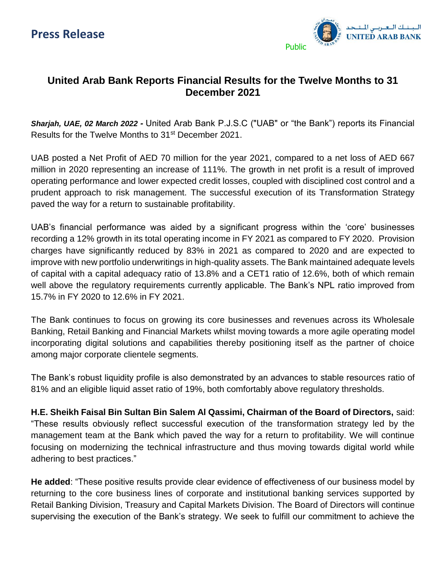

## **United Arab Bank Reports Financial Results for the Twelve Months to 31 December 2021**

*Sharjah, UAE, 02 March 2022 -* United Arab Bank P.J.S.C ("UAB" or "the Bank") reports its Financial Results for the Twelve Months to 31<sup>st</sup> December 2021.

UAB posted a Net Profit of AED 70 million for the year 2021, compared to a net loss of AED 667 million in 2020 representing an increase of 111%. The growth in net profit is a result of improved operating performance and lower expected credit losses, coupled with disciplined cost control and a prudent approach to risk management. The successful execution of its Transformation Strategy paved the way for a return to sustainable profitability.

UAB's financial performance was aided by a significant progress within the 'core' businesses recording a 12% growth in its total operating income in FY 2021 as compared to FY 2020. Provision charges have significantly reduced by 83% in 2021 as compared to 2020 and are expected to improve with new portfolio underwritings in high-quality assets. The Bank maintained adequate levels of capital with a capital adequacy ratio of 13.8% and a CET1 ratio of 12.6%, both of which remain well above the regulatory requirements currently applicable. The Bank's NPL ratio improved from 15.7% in FY 2020 to 12.6% in FY 2021.

The Bank continues to focus on growing its core businesses and revenues across its Wholesale Banking, Retail Banking and Financial Markets whilst moving towards a more agile operating model incorporating digital solutions and capabilities thereby positioning itself as the partner of choice among major corporate clientele segments.

The Bank's robust liquidity profile is also demonstrated by an advances to stable resources ratio of 81% and an eligible liquid asset ratio of 19%, both comfortably above regulatory thresholds.

**H.E. Sheikh Faisal Bin Sultan Bin Salem Al Qassimi, Chairman of the Board of Directors,** said: "These results obviously reflect successful execution of the transformation strategy led by the management team at the Bank which paved the way for a return to profitability. We will continue focusing on modernizing the technical infrastructure and thus moving towards digital world while adhering to best practices."

**He added**: "These positive results provide clear evidence of effectiveness of our business model by returning to the core business lines of corporate and institutional banking services supported by Retail Banking Division, Treasury and Capital Markets Division. The Board of Directors will continue supervising the execution of the Bank's strategy. We seek to fulfill our commitment to achieve the